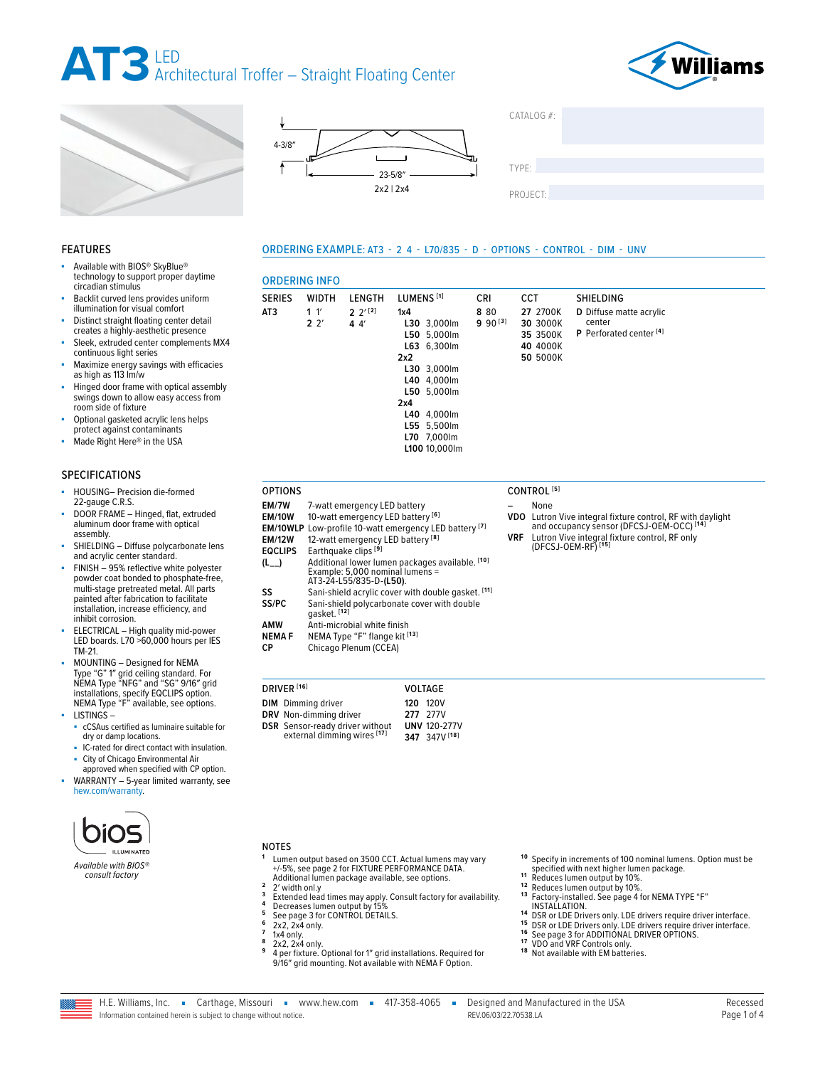

ORDERING INFO

**AT3 1** 1′ **2** 2′







ORDERING EXAMPLE: AT3 - 2 4 - L70/835 - D - OPTIONS - CONTROL - DIM - UNV

**8** 80 **9** 90 **[3]**



### FEATURES

- Available with BIOS® SkyBlue® technology to support proper daytime circadian stimulus
- Backlit curved lens provides uniform illumination for visual comfort
- Distinct straight floating center detail creates a highly-aesthetic presence
- Sleek, extruded center complements MX4 continuous light series
- Maximize energy savings with efficacies as high as 113 lm/w
- Hinged door frame with optical assembly swings down to allow easy access from room side of fixture
- Optional gasketed acrylic lens helps
- protect against contaminants Made Right Here® in the USA

### SPECIFICATIONS

- HOUSING- Precision die-formed 22-gauge C.R.S.
- DOOR FRAME Hinged, flat, extruded aluminum door frame with optical assembly.
- SHIELDING Diffuse polycarbonate lens and acrylic center standard.
- FINISH 95% reflective white polyester powder coat bonded to phosphate-free, multi-stage pretreated metal. All parts painted after fabrication to facilitate installation, increase efficiency, and inhibit corrosion.
- ELECTRICAL High quality mid-power LED boards. L70 >60,000 hours per IES TM-21.
- MOUNTING Designed for NEMA Type "G" 1″ grid ceiling standard. For NEMA Type "NFG" and "SG" 9/16″ grid installations, specify EQCLIPS option. NEMA Type "F" available, see options. LISTINGS –
- 
- cCSAus certified as luminaire suitable for dry or damp locations. ■ IC-rated for direct contact with insulation.
- City of Chicago Environmental Air approved when specified with CP option.
- WARRANTY 5-year limited warranty, see [hew.com/warranty.](https://www.hew.com/resources/warranty-and-terms)



*Available with BIOS® consult factory*

#### **L50** 5,000lm **L63** 6,300lm **2x2 L30** 3,000lm **L40** 4,000lm **L50** 5,000lm **2x4 L40** 4,000lm **L55** 5,500lm **L70** 7,000lm

**EM/7W** 7-watt emergency LED battery<br>**FM/10W** 10-watt emergency LED batter

**EQCLIPS** Earthquake clips **[9]**

**AMW** Anti-microbial white finish<br>**NEMA F** NEMA Type "F" flange kit <sup>[</sup> **NEMA F** NEMA Type "F" flange kit <sup>[13]</sup><br>**CP** Chicago Plenum (CCEA) Chicago Plenum (CCEA)

**DIM** Dimming driver **DRV** Non-dimming driver **DSR** Sensor-ready driver without external dimming wires **[17]**

DRIVER **[16]** VOLTAGE

10-watt emergency LED battery [6] **EM/10WLP** Low-profile 10-watt emergency LED battery **[7]** 12-watt emergency LED battery<sup>[8]</sup>

**(L\_\_)** Additional lower lumen packages available. **[10]** Example: 5,000 nominal lumens = AT3-24-L55/835-D-**(L50)**. **SS** Sani-shield acrylic cover with double gasket. <sup>[11]</sup><br>**SS/PC** Sani-shield polycarbonate cover with double **SS/PC** Sani-shield polycarbonate cover with double gasket. **[12]**

SERIES WIDTH LENGTH LUMENS<sup>[1]</sup> CRI

**1x4**

**L30** 3,000lm

**L100** 10,000lm

**120** 120V **277** 277V **UNV** 120-277V **347** 347V **[18]**

**2** 2′ **[2] 4** 4′

| CCT                                          | SHIELDING                                                               |
|----------------------------------------------|-------------------------------------------------------------------------|
| 27 2700K<br>30 3000K<br>35 3500K<br>40 4000K | D Diffuse matte acrylic<br>center<br>P Perforated center <sup>[4]</sup> |
| 50 5000K                                     |                                                                         |

### OPTIONS CONTROL **[5]**

- **–** None **VDO** Lutron Vive integral fixture control, RF with daylight and occupancy sensor (DFCSJ-OEM-OCC) **[14]**
- **VRF** Lutron Vive integral fixture control, RF only (DFCSJ-OEM-RF) **[15]**

### NOTES

- **<sup>1</sup>** Lumen output based on 3500 CCT. Actual lumens may vary Lumen output based on 3500 CCT. Actual lumens may<br>+/-5%, [see page 2 for FIXTURE PERFORMANCE DATA](#page-1-0).<br>Additional lumen package available, see options.
- 2<br>
2 Width only<br>
3 Extended lead times may apply. Consult factory for availability.<br>
4 Decreases lumen output by 15%<br>
5 [See page 3 for CONTROL DETAILS.](#page-2-0)<br>
6 2x2, 2x4 only.<br>
7 1x4 only.<br>
8 2x2, 2x4 only.<br>
8 2x2, 2x4 only.<br>
8
- 
- 
- 
- 
- 
- 9/16″ grid mounting. Not available with NEMA F Option.
- **<sup>10</sup>** Specify in increments of 100 nominal lumens. Option must be specified with next higher lumen package.
- 
- 
- <sup>11</sup> Reduces lumen output by 10%.<br><sup>12</sup> Reduces lumen output by 10%.<br><sup>13</sup> Factory-installed. See page 4 for NEMA TYPE "F"<br>**1. INSTALLATION.**
- <sup>14</sup> [INSTALLATION.](#page-3-0)<br>
<sup>14</sup> DSR or LDE Drivers only. LDE drivers require driver interface.<br>
<sup>15</sup> [See page 3 for ADDITIONAL DRIVER OPTIONS.](#page-2-1)<br>
<sup>17</sup> VDO and VRF Controls only.<br>
<sup>17</sup> VDO and VRF Controls only.<br>
<sup>17</sup> VDO and NRF Co
- 
- 
- 
- 



REV.06/03/22.70538.LA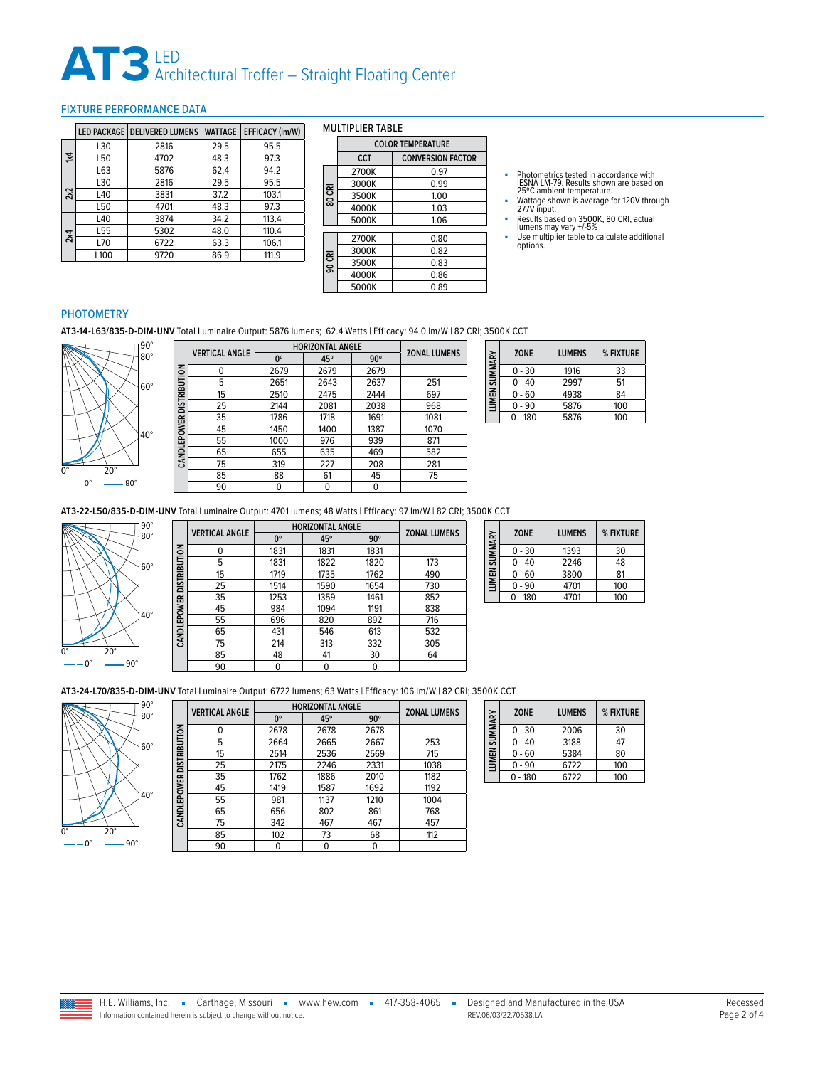### **AT3** LED Architectural Troffer – Straight Floating Center

### <span id="page-1-0"></span>FIXTURE PERFORMANCE DATA

|     |      | LED PACKAGE   DELIVERED LUMENS | <b>WATTAGE</b> | EFFICACY (Im/W) |
|-----|------|--------------------------------|----------------|-----------------|
|     | L30  | 2816                           | 29.5           | 95.5            |
| У4  | L50  | 4702                           | 48.3           | 97.3            |
|     | L63  | 5876                           | 62.4           | 94.2            |
|     | L30  | 2816                           | 29.5           | 95.5            |
| 2x2 | L40  | 3831                           | 37.2           | 103.1           |
|     | L50  | 4701                           | 48.3           | 97.3            |
|     | L40  | 3874                           | 34.2           | 113.4           |
| 2x4 | L55  | 5302                           | 48.0           | 110.4           |
|     | L70  | 6722                           | 63.3           | 106.1           |
|     | L100 | 9720                           | 86.9           | 111.9           |

#### MULTIPLIER TABLE

|        | <b>COLOR TEMPERATURE</b> |                          |  |  |  |
|--------|--------------------------|--------------------------|--|--|--|
|        | CCT                      | <b>CONVERSION FACTOR</b> |  |  |  |
|        | 2700K                    | 0.97                     |  |  |  |
|        | 3000K                    | 0.99                     |  |  |  |
| 80 CRI | 3500K                    | 1.00                     |  |  |  |
|        | 4000K                    | 1.03                     |  |  |  |
|        | 5000K                    | 1.06                     |  |  |  |
|        | 2700K                    | 0.80                     |  |  |  |
|        |                          |                          |  |  |  |
|        | 3000K                    | 0.82                     |  |  |  |
| 90 CRI | 3500K                    | 0.83                     |  |  |  |
|        | 4000K                    | 0.86                     |  |  |  |
|        | 5000K                    | 0.89                     |  |  |  |

- Photometrics tested in accordance with<br>IESNA LM-79. Results shown are based on<br>25℃ ambient temperature.<br>■ Wattage shown is average for 120V through<br>277V input.
- 
- Results based on 3500K, 80 CRI, actual lumens may vary +/-5%
- Use multiplier table to calculate additional options.

### PHOTOMETRY

**AT3-14-L63/835-D-DIM-UNV** Total Luminaire Output: 5876 lumens; 62.4 Watts | Efficacy: 94.0 lm/W | 82 CRI; 3500K CCT



|                     | <b>VERTICAL ANGLE</b> |      | <b>HORIZONTAL ANGLE</b> |            |                     |
|---------------------|-----------------------|------|-------------------------|------------|---------------------|
|                     |                       | 0°   | 45°                     | $90^\circ$ | <b>ZONAL LUMENS</b> |
| <b>DISTRIBUTION</b> | 0                     | 2679 | 2679                    | 2679       |                     |
|                     | 5                     | 2651 | 2643                    | 2637       | 251                 |
|                     | 15                    | 2510 | 2475                    | 2444       | 697                 |
|                     | 25                    | 2144 | 2081                    | 2038       | 968                 |
|                     | 35                    | 1786 | 1718                    | 1691       | 1081                |
| <b>CANDLEPOWER</b>  | 45                    | 1450 | 1400                    | 1387       | 1070                |
|                     | 55                    | 1000 | 976                     | 939        | 871                 |
|                     | 65                    | 655  | 635                     | 469        | 582                 |
|                     | 75                    | 319  | 227                     | 208        | 281                 |
|                     | 85                    | 88   | 61                      | 45         | 75                  |
|                     | 90                    | 0    | 0                       | 0          |                     |

| LUMEN SUMMARY | <b>ZONE</b> | <b>LUMENS</b> | % FIXTURE |
|---------------|-------------|---------------|-----------|
|               | 0 - 30      | 1916          | 33        |
|               | 0 - 40      | 2997          | 51        |
|               | $0 - 60$    | 4938          | 84        |
|               | $0 - 90$    | 5876          | 100       |
|               | $-180$      | 5876          | 100       |

**AT3-22-L50/835-D-DIM-UNV** Total Luminaire Output: 4701 lumens; 48 Watts | Efficacy: 97 lm/W | 82 CRI; 3500K CCT



|                            | <b>VERTICAL ANGLE</b> | <b>HORIZONTAL ANGLE</b> |      |            | <b>ZONAL LUMENS</b> |
|----------------------------|-----------------------|-------------------------|------|------------|---------------------|
|                            |                       | $0^{\circ}$             | 45°  | $90^\circ$ |                     |
|                            | 0                     | 1831                    | 1831 | 1831       |                     |
|                            | 5                     | 1831                    | 1822 | 1820       | 173                 |
|                            | 15                    | 1719                    | 1735 | 1762       | 490                 |
|                            | 25                    | 1514                    | 1590 | 1654       | 730                 |
|                            | 35                    | 1253                    | 1359 | 1461       | 852                 |
| CAN DLE POWER DISTRIBUTION | 45                    | 984                     | 1094 | 1191       | 838                 |
|                            | 55                    | 696                     | 820  | 892        | 716                 |
|                            | 65                    | 431                     | 546  | 613        | 532                 |
|                            | 75                    | 214                     | 313  | 332        | 305                 |
|                            | 85                    | 48                      | 41   | 30         | 64                  |
|                            | 90                    |                         | 0    | 0          |                     |

| <b>LUMEN SUMMARY</b> | <b>ZONE</b> | <b>LUMENS</b> | % FIXTURE |
|----------------------|-------------|---------------|-----------|
|                      | $0 - 30$    | 1393          | 30        |
|                      | $0 - 40$    | 2246          | 48        |
|                      | $0 - 60$    | 3800          | 81        |
|                      | $0 - 90$    | 4701          | 100       |
|                      | $0 - 180$   | 4701          | 100       |

**AT3-24-L70/835-D-DIM-UNV** Total Luminaire Output: 6722 lumens; 63 Watts | Efficacy: 106 lm/W | 82 CRI; 3500K CCT



|                          | <b>VERTICAL ANGLE</b> | <b>HORIZONTAL ANGLE</b> |      |            | <b>ZONAL LUMENS</b> |
|--------------------------|-----------------------|-------------------------|------|------------|---------------------|
|                          |                       | $0^{\circ}$             | 45°  | $90^\circ$ |                     |
|                          | 0                     | 2678                    | 2678 | 2678       |                     |
|                          | 5                     | 2664                    | 2665 | 2667       | 253                 |
| CANDLEPOWER DISTRIBUTION | 15                    | 2514                    | 2536 | 2569       | 715                 |
|                          | 25                    | 2175                    | 2246 | 2331       | 1038                |
|                          | 35                    | 1762                    | 1886 | 2010       | 1182                |
|                          | 45                    | 1419                    | 1587 | 1692       | 1192                |
|                          | 55                    | 981                     | 1137 | 1210       | 1004                |
|                          | 65                    | 656                     | 802  | 861        | 768                 |
|                          | 75                    | 342                     | 467  | 467        | 457                 |
|                          | 85                    | 102                     | 73   | 68         | 112                 |
|                          | 90                    | 0                       | 0    | 0          |                     |

| LUMEN SUMMARY | <b>ZONE</b> | <b>LUMENS</b> | % FIXTURE |
|---------------|-------------|---------------|-----------|
|               | $0 - 30$    | 2006          | 30        |
|               | $0 - 40$    | 3188          | 47        |
|               | $0 - 60$    | 5384          | 80        |
|               | $0 - 90$    | 6722          | 100       |
|               | 180         | 6722          | 100       |

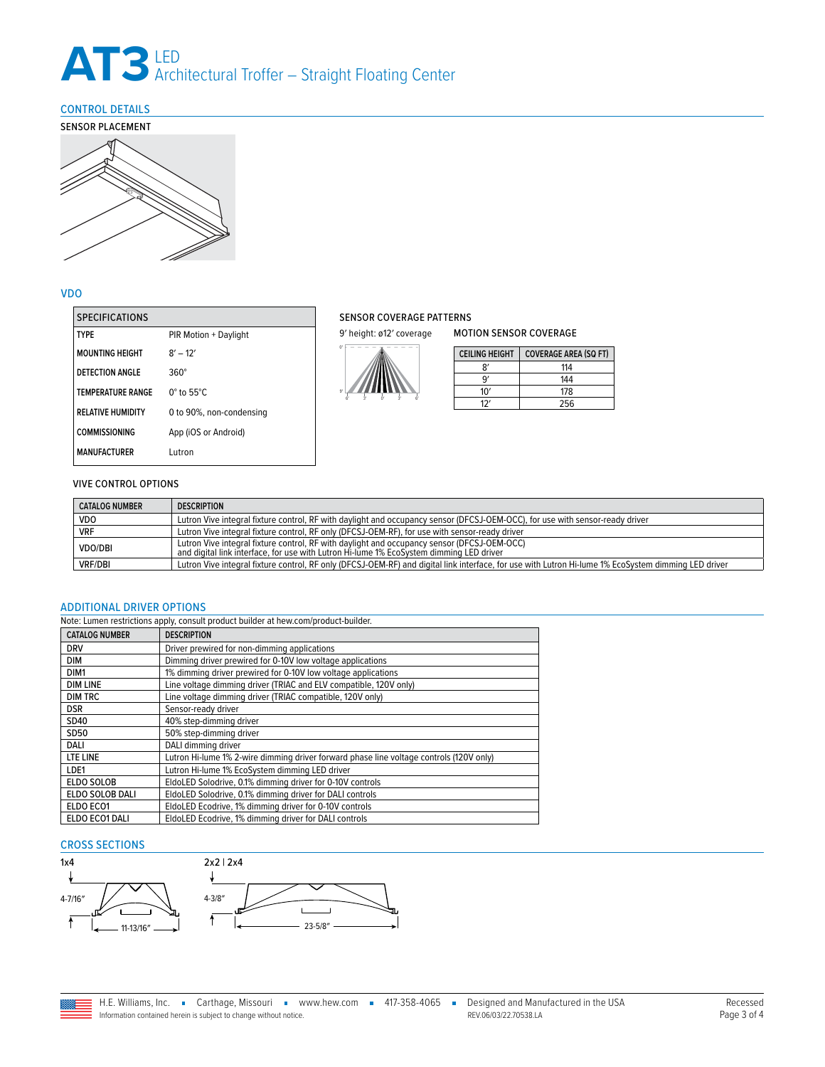### **AT3** LED Architectural Troffer – Straight Floating Center

### <span id="page-2-0"></span>CONTROL DETAILS



### VDO

| <b>SPECIFICATIONS</b>    |                             |
|--------------------------|-----------------------------|
| <b>TYPF</b>              | PIR Motion + Daylight       |
| <b>MOUNTING HEIGHT</b>   | $8' - 12'$                  |
| DETECTION ANGLE          | $360^\circ$                 |
| <b>TEMPERATURE RANGE</b> | $0^\circ$ to 55 $^\circ$ C. |
| <b>RELATIVE HUMIDITY</b> | 0 to 90%, non-condensing    |
| <b>COMMISSIONING</b>     | App (iOS or Android)        |
| <b>MANUFACTURFR</b>      | Lutron                      |

### SENSOR COVERAGE PATTERNS

9' height: ø12' coverage



| <b>CEILING HEIGHT</b> | <b>COVERAGE AREA (SQ FT)</b> |
|-----------------------|------------------------------|
| R١                    | 114                          |
| ۹ʻ                    | 144                          |
| 10'                   | 178                          |
| 17.                   | 256                          |

MOTION SENSOR COVERAGE

### VIVE CONTROL OPTIONS

| <b>CATALOG NUMBER</b> | <b>DESCRIPTION</b>                                                                                                                                                                     |  |  |
|-----------------------|----------------------------------------------------------------------------------------------------------------------------------------------------------------------------------------|--|--|
| <b>VDO</b>            | Lutron Vive integral fixture control, RF with daylight and occupancy sensor (DFCSJ-OEM-OCC), for use with sensor-ready driver                                                          |  |  |
| <b>VRF</b>            | Lutron Vive integral fixture control, RF only (DFCSJ-OEM-RF), for use with sensor-ready driver                                                                                         |  |  |
| VDO/DBI               | Lutron Vive integral fixture control, RF with daylight and occupancy sensor (DFCSJ-OEM-OCC)<br>and digital link interface, for use with Lutron Hi-lume 1% EcoSystem dimming LED driver |  |  |
| <b>VRF/DBI</b>        | Lutron Vive integral fixture control, RF only (DFCSJ-OEM-RF) and digital link interface, for use with Lutron Hi-lume 1% EcoSystem dimming LED driver                                   |  |  |

### <span id="page-2-1"></span>ADDITIONAL DRIVER OPTIONS

| Note: Lumen restrictions apply, consult product builder at hew.com/product-builder. |                                                                                         |
|-------------------------------------------------------------------------------------|-----------------------------------------------------------------------------------------|
| <b>CATALOG NUMBER</b>                                                               | <b>DESCRIPTION</b>                                                                      |
| <b>DRV</b>                                                                          | Driver prewired for non-dimming applications                                            |
| <b>DIM</b>                                                                          | Dimming driver prewired for 0-10V low voltage applications                              |
| DIM <sub>1</sub>                                                                    | 1% dimming driver prewired for 0-10V low voltage applications                           |
| <b>DIM LINE</b>                                                                     | Line voltage dimming driver (TRIAC and ELV compatible, 120V only)                       |
| <b>DIM TRC</b>                                                                      | Line voltage dimming driver (TRIAC compatible, 120V only)                               |
| <b>DSR</b>                                                                          | Sensor-ready driver                                                                     |
| SD40                                                                                | 40% step-dimming driver                                                                 |
| <b>SD50</b>                                                                         | 50% step-dimming driver                                                                 |
| DALI                                                                                | DALI dimming driver                                                                     |
| LTE LINE                                                                            | Lutron Hi-lume 1% 2-wire dimming driver forward phase line voltage controls (120V only) |
| LDE1                                                                                | Lutron Hi-lume 1% EcoSystem dimming LED driver                                          |
| <b>ELDO SOLOB</b>                                                                   | EldoLED Solodrive, 0.1% dimming driver for 0-10V controls                               |
| ELDO SOLOB DALI                                                                     | EldoLED Solodrive, 0.1% dimming driver for DALI controls                                |
| ELDO ECO1                                                                           | EldoLED Ecodrive, 1% dimming driver for 0-10V controls                                  |
| ELDO ECO1 DALI                                                                      | EldoLED Ecodrive, 1% dimming driver for DALI controls                                   |

### CROSS SECTIONS